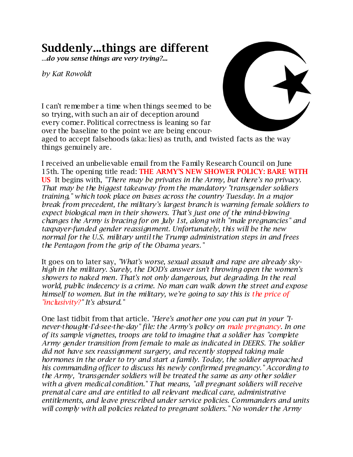## **Suddenly...things are different**

...*do you sense things are very trying?...*

*by Kat Rowoldt*



I can't remember a time when things seemed to be so trying, with such an air of deception around every corner. Political correctness is leaning so far over the baseline to the point we are being encour-

aged to accept falsehoods (aka: lies) as truth, and twisted facts as the way things genuinely are.

I received an unbelievable email from the Family Research Council on June 15th. The opening title read: **THE ARMY'S NEW SHOWER POLICY: BARE WITH US** It begins with, *"There may be privates in the Army, but there's no privacy. That may be the biggest takeaway from the mandatory "transgender soldiers training," which took place on bases across the country Tuesday. In a major break from precedent, the military's largest branch is warning female soldiers to expect biological men in their showers. That's just one of the mind-blowing changes the Army is bracing for on July 1st, along with "male pregnancies" and taxpayer-funded gender reassignment. Unfortunately, this will be the new normal for the U.S. military until the Trump administration steps in and frees the Pentagon from the grip of the Obama years."*

It goes on to later say, *"What's worse, sexual assault and rape are already skyhigh in the military. Surely, the DOD's answer isn't throwing open the women's showers to naked men. That's not only dangerous, but degrading. In the real world, public indecency is a crime. No man can walk down the street and expose himself to women. But in the military, we're going to say this is the price of "inclusivity?" It's absurd."*

One last tidbit from that article. *"Here's another one you can put in your "Inever-thought-I'd-see-the-day" file: the Army's policy on male pregnancy. In one of its sample vignettes, troops are told to imagine that a soldier has "complete Army gender transition from female to male as indicated in DEERS. The soldier did not have sex reassignment surgery, and recently stopped taking male hormones in the order to try and start a family. Today, the soldier approached his commanding officer to discuss his newly confirmed pregnancy." According to the Army, "transgender soldiers will be treated the same as any other soldier with a given medical condition." That means, "all pregnant soldiers will receive prenatal care and are entitled to all relevant medical care, administrative entitlements, and leave prescribed under service policies. Commanders and units will comply with all policies related to pregnant soldiers." No wonder the Army*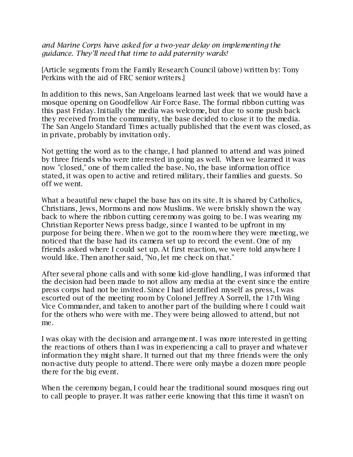*and Marine Corps have asked for a two-year delay on implementing the guidance. They'll need that time to add paternity wards!*

[Article segments from the Family Research Council (above) written by: Tony Perkins with the aid of FRC senior writers.]

In addition to this news, San Angeloans learned last week that we would have a mosque opening on Goodfellow Air Force Base. The formal ribbon cutting was this past Friday. Initially the media was welcome, but due to some push back they received from the community, the base decided to close it to the media. The San Angelo Standard Times actually published that the event was closed, as in private, probably by invitation only.

Not getting the word as to the change, I had planned to attend and was joined by three friends who were interested in going as well. When we learned it was now "closed," one of them called the base. No, the base information office stated, it was open to active and retired military, their families and guests. So off we went.

What a beautiful new chapel the base has on its site. It is shared by Catholics, Christians, Jews, Mormons and now Muslims. We were briskly shown the way back to where the ribbon cutting ceremony was going to be. I was wearing my Christian Reporter News press badge, since I wanted to be upfront in my purpose for being there. When we got to the room where they were meeting, we noticed that the base had its camera set up to record the event. One of my friends asked where I could set up. At first reaction, we were told anywhere I would like. Then another said, "No, let me check on that."

After several phone calls and with some kid-glove handling, I was informed that the decision had been made to not allow any media at the event since the entire press corps had not be invited. Since I had identified myself as press, I was escorted out of the meeting room by Colonel Jeffrey A Sorrell, the 17th Wing Vice Commander, and taken to another part of the building where I could wait for the others who were with me. They were being allowed to attend, but not me.

I was okay with the decision and arrangement. I was more interested in getting the reactions of others than I was in experiencing a call to prayer and whatever information they might share. It turned out that my three friends were the only non-active duty people to attend. There were only maybe a dozen more people there for the big event.

When the ceremony began, I could hear the traditional sound mosques ring out to call people to prayer. It was rather eerie knowing that this time it wasn't on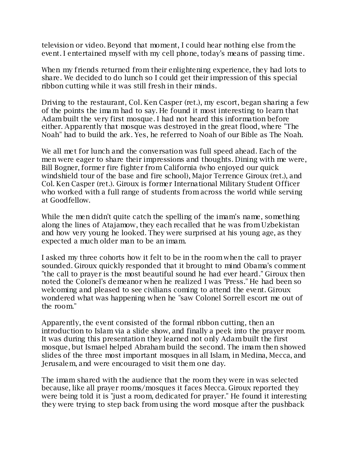television or video. Beyond that moment, I could hear nothing else from the event. I entertained myself with my cell phone, today's means of passing time.

When my friends returned from their enlightening experience, they had lots to share. We decided to do lunch so I could get their impression of this special ribbon cutting while it was still fresh in their minds.

Driving to the restaurant, Col. Ken Casper (ret.), my escort, began sharing a few of the points the imam had to say. He found it most interesting to learn that Adam built the very first mosque. I had not heard this information before either. Apparently that mosque was destroyed in the great flood, where "The Noah" had to build the ark. Yes, he referred to Noah of our Bible as The Noah.

We all met for lunch and the conversation was full speed ahead. Each of the men were eager to share their impressions and thoughts. Dining with me were, Bill Bogner, former fire fighter from California (who enjoyed our quick windshield tour of the base and fire school), Major Terrence Giroux (ret.), and Col. Ken Casper (ret.). Giroux is former International Military Student Officer who worked with a full range of students from across the world while serving at Goodfellow.

While the men didn't quite catch the spelling of the imam's name, something along the lines of Atajamow, they each recalled that he was from Uzbekistan and how very young he looked. They were surprised at his young age, as they expected a much older man to be an imam.

I asked my three cohorts how it felt to be in the room when the call to prayer sounded. Giroux quickly responded that it brought to mind Obama's comment "the call to prayer is the most beautiful sound he had ever heard." Giroux then noted the Colonel's demeanor when he realized I was "Press." He had been so welcoming and pleased to see civilians coming to attend the event. Giroux wondered what was happening when he "saw Colonel Sorrell escort me out of the room."

Apparently, the event consisted of the formal ribbon cutting, then an introduction to Islam via a slide show, and finally a peek into the prayer room. It was during this presentation they learned not only Adam built the first mosque, but Ismael helped Abraham build the second. The imam then showed slides of the three most important mosques in all Islam, in Medina, Mecca, and Jerusalem, and were encouraged to visit them one day.

The imam shared with the audience that the room they were in was selected because, like all prayer rooms/mosques it faces Mecca. Giroux reported they were being told it is "just a room, dedicated for prayer." He found it interesting they were trying to step back from using the word mosque after the pushback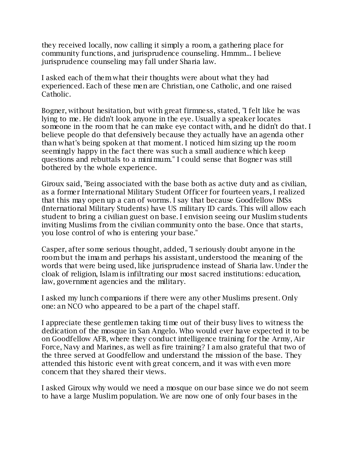they received locally, now calling it simply a room, a gathering place for community functions, and jurisprudence counseling. Hmmm... I believe jurisprudence counseling may fall under Sharia law.

I asked each of them what their thoughts were about what they had experienced. Each of these men are Christian, one Catholic, and one raised Catholic.

Bogner, without hesitation, but with great firmness, stated, "I felt like he was lying to me. He didn't look anyone in the eye. Usually a speaker locates someone in the room that he can make eye contact with, and he didn't do that. I believe people do that defensively because they actually have an agenda other than what's being spoken at that moment. I noticed him sizing up the room seemingly happy in the fact there was such a small audience which keep questions and rebuttals to a minimum." I could sense that Bogner was still bothered by the whole experience.

Giroux said, "Being associated with the base both as active duty and as civilian, as a former International Military Student Officer for fourteen years, I realized that this may open up a can of worms. I say that because Goodfellow IMSs (International Military Students) have US military ID cards. This will allow each student to bring a civilian guest on base. I envision seeing our Muslim students inviting Muslims from the civilian community onto the base. Once that starts, you lose control of who is entering your base."

Casper, after some serious thought, added, "I seriously doubt anyone in the room but the imam and perhaps his assistant, understood the meaning of the words that were being used, like jurisprudence instead of Sharia law. Under the cloak of religion, Islam is infiltrating our most sacred institutions: education, law, government agencies and the military.

I asked my lunch companions if there were any other Muslims present. Only one: an NCO who appeared to be a part of the chapel staff.

I appreciate these gentlemen taking time out of their busy lives to witness the dedication of the mosque in San Angelo. Who would ever have expected it to be on Goodfellow AFB, where they conduct intelligence training for the Army, Air Force, Navy and Marines, as well as fire training? I am also grateful that two of the three served at Goodfellow and understand the mission of the base. They attended this historic event with great concern, and it was with even more concern that they shared their views.

I asked Giroux why would we need a mosque on our base since we do not seem to have a large Muslim population. We are now one of only four bases in the